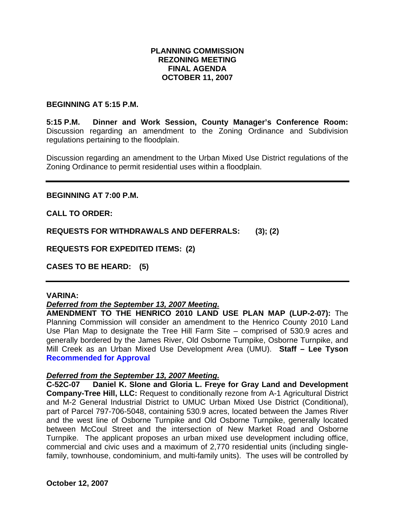## **PLANNING COMMISSION REZONING MEETING FINAL AGENDA OCTOBER 11, 2007**

#### **BEGINNING AT 5:15 P.M.**

**5:15 P.M. Dinner and Work Session, County Manager's Conference Room:** Discussion regarding an amendment to the Zoning Ordinance and Subdivision regulations pertaining to the floodplain.

Discussion regarding an amendment to the Urban Mixed Use District regulations of the Zoning Ordinance to permit residential uses within a floodplain.

**BEGINNING AT 7:00 P.M.** 

**CALL TO ORDER:** 

**REQUESTS FOR WITHDRAWALS AND DEFERRALS: (3); (2)** 

**REQUESTS FOR EXPEDITED ITEMS: (2)** 

**CASES TO BE HEARD: (5)** 

#### **VARINA:**

#### *Deferred from the September 13, 2007 Meeting.*

**AMENDMENT TO THE HENRICO 2010 LAND USE PLAN MAP (LUP-2-07):** The Planning Commission will consider an amendment to the Henrico County 2010 Land Use Plan Map to designate the Tree Hill Farm Site – comprised of 530.9 acres and generally bordered by the James River, Old Osborne Turnpike, Osborne Turnpike, and Mill Creek as an Urban Mixed Use Development Area (UMU). **Staff – Lee Tyson Recommended for Approval**

#### *Deferred from the September 13, 2007 Meeting.*

**C-52C-07 Daniel K. Slone and Gloria L. Freye for Gray Land and Development Company-Tree Hill, LLC:** Request to conditionally rezone from A-1 Agricultural District and M-2 General Industrial District to UMUC Urban Mixed Use District (Conditional), part of Parcel 797-706-5048, containing 530.9 acres, located between the James River and the west line of Osborne Turnpike and Old Osborne Turnpike, generally located between McCoul Street and the intersection of New Market Road and Osborne Turnpike. The applicant proposes an urban mixed use development including office, commercial and civic uses and a maximum of 2,770 residential units (including singlefamily, townhouse, condominium, and multi-family units). The uses will be controlled by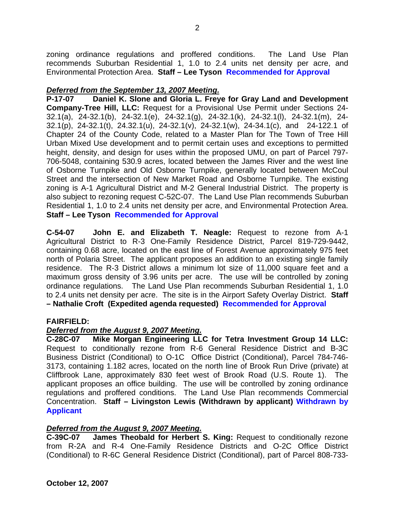zoning ordinance regulations and proffered conditions. The Land Use Plan recommends Suburban Residential 1, 1.0 to 2.4 units net density per acre, and Environmental Protection Area. **Staff – Lee Tyson Recommended for Approval**

## *Deferred from the September 13, 2007 Meeting.*

**P-17-07 Daniel K. Slone and Gloria L. Freye for Gray Land and Development Company-Tree Hill, LLC:** Request for a Provisional Use Permit under Sections 24- 32.1(a), 24-32.1(b), 24-32.1(e), 24-32.1(g), 24-32.1(k), 24-32.1(l), 24-32.1(m), 24- 32.1(p), 24-32.1(t), 24.32.1(u), 24-32.1(v), 24-32.1(w), 24-34.1(c), and 24-122.1 of Chapter 24 of the County Code, related to a Master Plan for The Town of Tree Hill Urban Mixed Use development and to permit certain uses and exceptions to permitted height, density, and design for uses within the proposed UMU, on part of Parcel 797- 706-5048, containing 530.9 acres, located between the James River and the west line of Osborne Turnpike and Old Osborne Turnpike, generally located between McCoul Street and the intersection of New Market Road and Osborne Turnpike. The existing zoning is A-1 Agricultural District and M-2 General Industrial District. The property is also subject to rezoning request C-52C-07. The Land Use Plan recommends Suburban Residential 1, 1.0 to 2.4 units net density per acre, and Environmental Protection Area. **Staff – Lee Tyson Recommended for Approval**

**C-54-07 John E. and Elizabeth T. Neagle:** Request to rezone from A-1 Agricultural District to R-3 One-Family Residence District, Parcel 819-729-9442, containing 0.68 acre, located on the east line of Forest Avenue approximately 975 feet north of Polaria Street. The applicant proposes an addition to an existing single family residence. The R-3 District allows a minimum lot size of 11,000 square feet and a maximum gross density of 3.96 units per acre. The use will be controlled by zoning ordinance regulations. The Land Use Plan recommends Suburban Residential 1, 1.0 to 2.4 units net density per acre. The site is in the Airport Safety Overlay District. **Staff – Nathalie Croft (Expedited agenda requested) Recommended for Approval**

## **FAIRFIELD:**

# *Deferred from the August 9, 2007 Meeting.*

**C-28C-07 Mike Morgan Engineering LLC for Tetra Investment Group 14 LLC:** Request to conditionally rezone from R-6 General Residence District and B-3C Business District (Conditional) to O-1C Office District (Conditional), Parcel 784-746- 3173, containing 1.182 acres, located on the north line of Brook Run Drive (private) at Cliffbrook Lane, approximately 830 feet west of Brook Road (U.S. Route 1). The applicant proposes an office building. The use will be controlled by zoning ordinance regulations and proffered conditions. The Land Use Plan recommends Commercial Concentration. **Staff – Livingston Lewis (Withdrawn by applicant) Withdrawn by Applicant** 

# *Deferred from the August 9, 2007 Meeting.*

**C-39C-07 James Theobald for Herbert S. King:** Request to conditionally rezone from R-2A and R-4 One-Family Residence Districts and O-2C Office District (Conditional) to R-6C General Residence District (Conditional), part of Parcel 808-733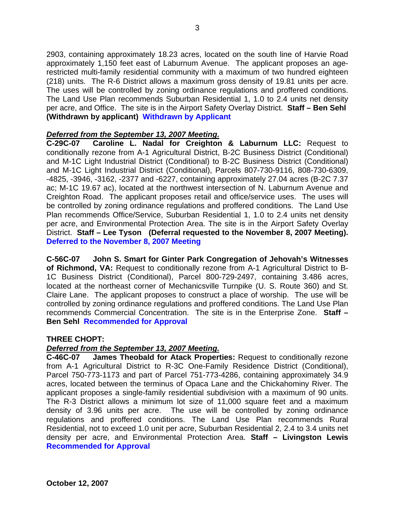2903, containing approximately 18.23 acres, located on the south line of Harvie Road approximately 1,150 feet east of Laburnum Avenue. The applicant proposes an agerestricted multi-family residential community with a maximum of two hundred eighteen (218) units. The R-6 District allows a maximum gross density of 19.81 units per acre. The uses will be controlled by zoning ordinance regulations and proffered conditions. The Land Use Plan recommends Suburban Residential 1, 1.0 to 2.4 units net density per acre, and Office. The site is in the Airport Safety Overlay District. **Staff – Ben Sehl (Withdrawn by applicant) Withdrawn by Applicant** 

## *Deferred from the September 13, 2007 Meeting.*

**C-29C-07 Caroline L. Nadal for Creighton & Laburnum LLC:** Request to conditionally rezone from A-1 Agricultural District, B-2C Business District (Conditional) and M-1C Light Industrial District (Conditional) to B-2C Business District (Conditional) and M-1C Light Industrial District (Conditional), Parcels 807-730-9116, 808-730-6309, -4825, -3946, -3162, -2377 and -6227, containing approximately 27.04 acres (B-2C 7.37 ac; M-1C 19.67 ac), located at the northwest intersection of N. Laburnum Avenue and Creighton Road. The applicant proposes retail and office/service uses. The uses will be controlled by zoning ordinance regulations and proffered conditions. The Land Use Plan recommends Office/Service, Suburban Residential 1, 1.0 to 2.4 units net density per acre, and Environmental Protection Area. The site is in the Airport Safety Overlay District. **Staff – Lee Tyson (Deferral requested to the November 8, 2007 Meeting). Deferred to the November 8, 2007 Meeting**

**C-56C-07 John S. Smart for Ginter Park Congregation of Jehovah's Witnesses of Richmond, VA:** Request to conditionally rezone from A-1 Agricultural District to B-1C Business District (Conditional), Parcel 800-729-2497, containing 3.486 acres, located at the northeast corner of Mechanicsville Turnpike (U. S. Route 360) and St. Claire Lane. The applicant proposes to construct a place of worship. The use will be controlled by zoning ordinance regulations and proffered conditions. The Land Use Plan recommends Commercial Concentration. The site is in the Enterprise Zone. **Staff – Ben Sehl Recommended for Approval**

#### **THREE CHOPT:**

#### *Deferred from the September 13, 2007 Meeting.*

**C-46C-07 James Theobald for Atack Properties:** Request to conditionally rezone from A-1 Agricultural District to R-3C One-Family Residence District (Conditional), Parcel 750-773-1173 and part of Parcel 751-773-4286, containing approximately 34.9 acres, located between the terminus of Opaca Lane and the Chickahominy River. The applicant proposes a single-family residential subdivision with a maximum of 90 units. The R-3 District allows a minimum lot size of 11,000 square feet and a maximum density of 3.96 units per acre. The use will be controlled by zoning ordinance regulations and proffered conditions. The Land Use Plan recommends Rural Residential, not to exceed 1.0 unit per acre, Suburban Residential 2, 2.4 to 3.4 units net density per acre, and Environmental Protection Area. **Staff – Livingston Lewis Recommended for Approval**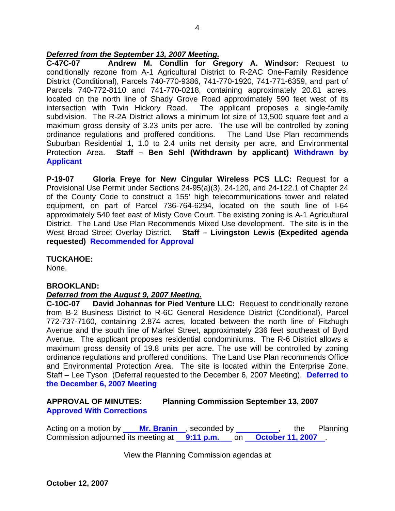## *Deferred from the September 13, 2007 Meeting.*

**C-47C-07 Andrew M. Condlin for Gregory A. Windsor:** Request to conditionally rezone from A-1 Agricultural District to R-2AC One-Family Residence District (Conditional), Parcels 740-770-9386, 741-770-1920, 741-771-6359, and part of Parcels 740-772-8110 and 741-770-0218, containing approximately 20.81 acres, located on the north line of Shady Grove Road approximately 590 feet west of its intersection with Twin Hickory Road. The applicant proposes a single-family subdivision. The R-2A District allows a minimum lot size of 13,500 square feet and a maximum gross density of 3.23 units per acre. The use will be controlled by zoning ordinance regulations and proffered conditions. The Land Use Plan recommends Suburban Residential 1, 1.0 to 2.4 units net density per acre, and Environmental Protection Area. **Staff – Ben Sehl (Withdrawn by applicant) Withdrawn by Applicant** 

**P-19-07 Gloria Freye for New Cingular Wireless PCS LLC:** Request for a Provisional Use Permit under Sections 24-95(a)(3), 24-120, and 24-122.1 of Chapter 24 of the County Code to construct a 155' high telecommunications tower and related equipment, on part of Parcel 736-764-6294, located on the south line of I-64 approximately 540 feet east of Misty Cove Court. The existing zoning is A-1 Agricultural District. The Land Use Plan Recommends Mixed Use development. The site is in the West Broad Street Overlay District. **Staff – Livingston Lewis (Expedited agenda requested) Recommended for Approval**

## **TUCKAHOE:**

None.

## **BROOKLAND:**

## *Deferred from the August 9, 2007 Meeting.*

**C-10C-07 David Johannas for Pied Venture LLC:** Request to conditionally rezone from B-2 Business District to R-6C General Residence District (Conditional), Parcel 772-737-7160, containing 2.874 acres, located between the north line of Fitzhugh Avenue and the south line of Markel Street, approximately 236 feet southeast of Byrd Avenue. The applicant proposes residential condominiums. The R-6 District allows a maximum gross density of 19.8 units per acre. The use will be controlled by zoning ordinance regulations and proffered conditions. The Land Use Plan recommends Office and Environmental Protection Area. The site is located within the Enterprise Zone. Staff – Lee Tyson (Deferral requested to the December 6, 2007 Meeting). **Deferred to the December 6, 2007 Meeting** 

# **APPROVAL OF MINUTES: Planning Commission September 13, 2007 Approved With Corrections**

Acting on a motion by **Mr. Branin**, seconded by *COND*, the Planning Commission adjourned its meeting at **9:11 p.m.** on **October 11, 2007** .

View the Planning Commission agendas at